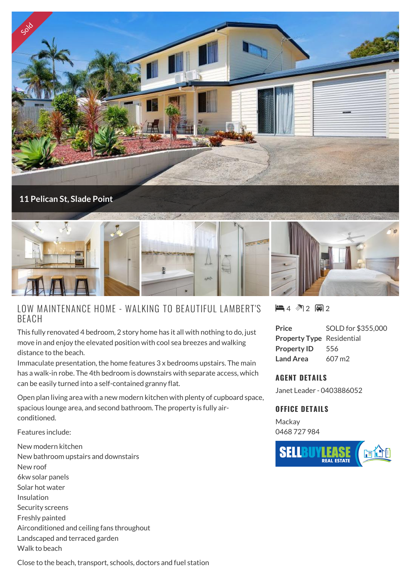

## LOW MAINTENANCE HOME - WALKING TO BEAUTIFUL LAMBERT'S BEACH

This fully renovated 4 bedroom, 2 story home has it all with nothing to do, just move in and enjoy the elevated position with cool sea breezes and walking distance to the beach.

Immaculate presentation, the home features 3 x bedrooms upstairs. The main has a walk-in robe. The 4th bedroom is downstairs with separate access, which can be easily turned into a self-contained granny flat.

Open plan living area with a new modern kitchen with plenty of cupboard space, spacious lounge area, and second bathroom. The property is fully airconditioned.

Features include:

New modern kitchen New bathroom upstairs and downstairs New roof 6kw solar panels Solar hot water Insulation Security screens Freshly painted Airconditioned and ceiling fans throughout Landscaped and terraced garden Walk to beach

 $4 \,$  12 国2

**Price** SOLD for \$355,000 **Property Type** Residential **Property ID** 556 **Land Area** 607 m2

## **AGENT DETAILS**

Janet Leader - 0403886052

## **OFFICE DETAILS**

**Mackay** 0468 727 984



Close to the beach, transport, schools, doctors and fuel station